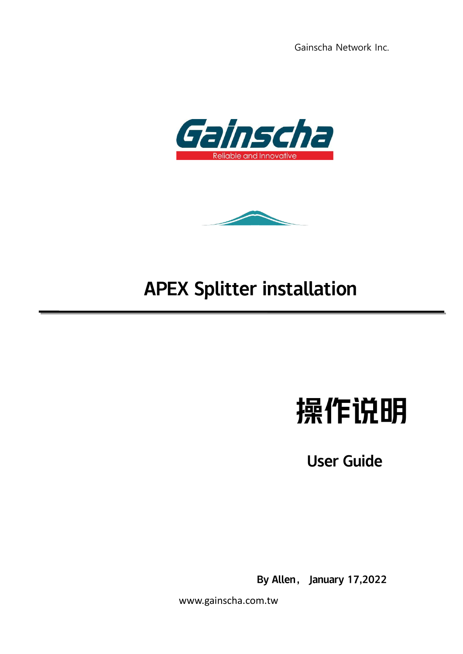



## APEX Splitter installation

# 操作说明

User Guide

By Allen, January 17,2022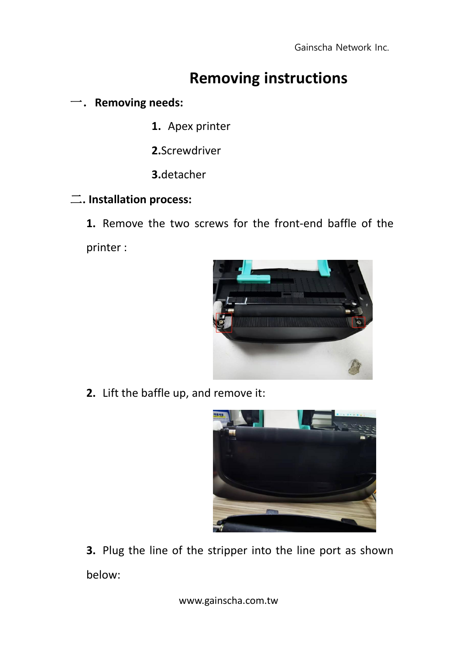### **Removing instructions**

#### 一.**Removing needs:**

- **1.** Apex printer
- **2.**Screwdriver
- **3.**detacher

#### 二**. Installation process:**

**1.** Remove the two screws for the front-end baffle of the printer :



**2.** Lift the baffle up, and remove it:



**3.** Plug the line of the stripper into the line port as shown below: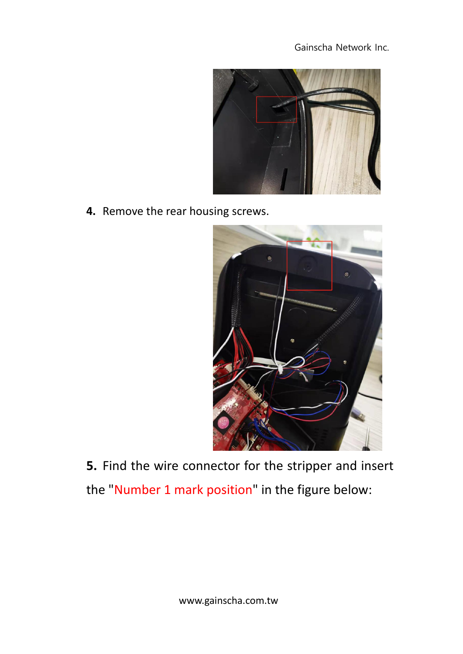

**4.** Remove the rear housing screws.



**5.** Find the wire connector for the stripper and insert the "Number 1 mark position" in the figure below: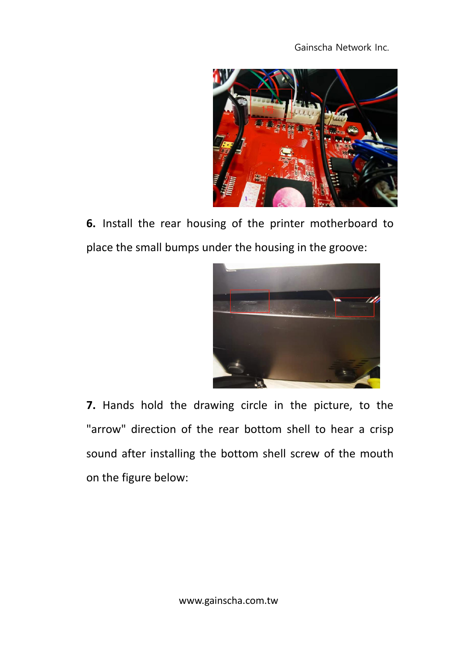

**6.** Install the rear housing of the printer motherboard to place the small bumps under the housing in the groove:



**7.** Hands hold the drawing circle in the picture, to the "arrow" direction of the rear bottom shell to hear a crisp sound after installing the bottom shell screw of the mouth on the figure below: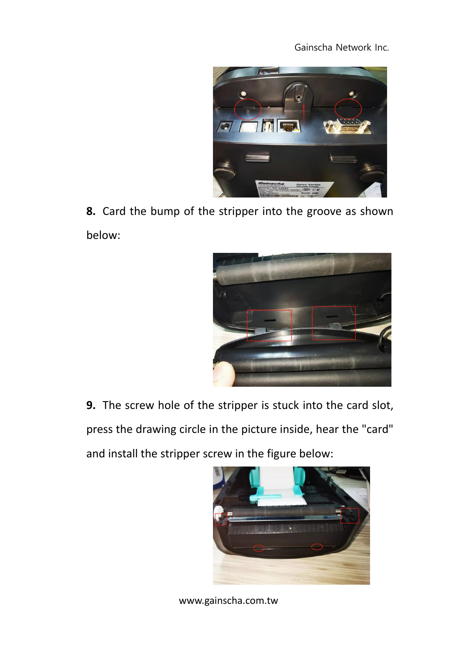

**8.** Card the bump of the stripper into the groove as shown below:



**9.** The screw hole of the stripper is stuck into the card slot, press the drawing circle in the picture inside, hear the "card" and install the stripper screw in the figure below:

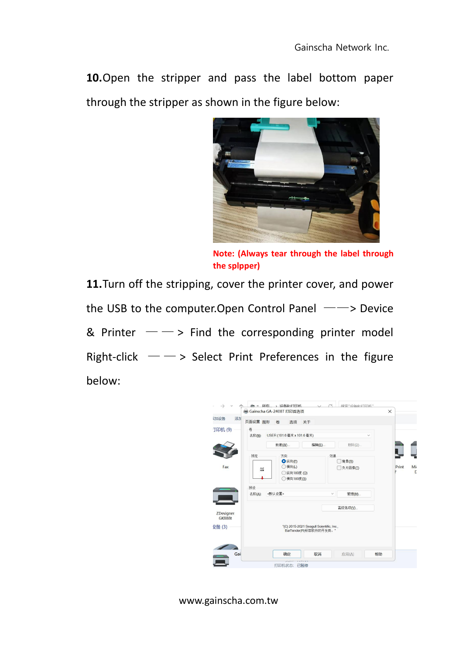**10.**Open the stripper and pass the label bottom paper through the stripper as shown in the figure below:



**Note: (Always tear through the label through the splpper)**

**11.**Turn off the stripping, cover the printer cover, and power the USB to the computer. Open Control Panel  $-\rightarrow$  Device & Printer  $-\rightarrow$  Find the corresponding printer model Right-click  $-\rightarrow$  Select Print Preferences in the figure below: